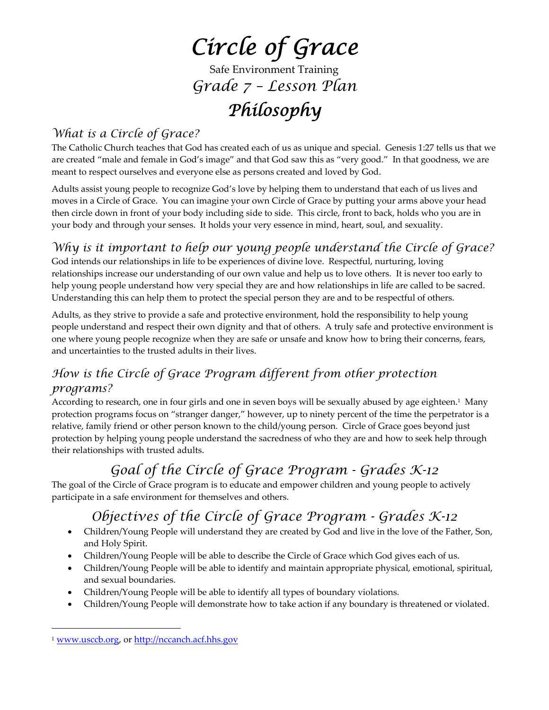# *Circle of Grace*

Safe Environment Training *Grade 7 – Lesson Plan*

# *Philosophy*

### *What is a Circle of Grace?*

The Catholic Church teaches that God has created each of us as unique and special. Genesis 1:27 tells us that we are created "male and female in God's image" and that God saw this as "very good." In that goodness, we are meant to respect ourselves and everyone else as persons created and loved by God.

Adults assist young people to recognize God's love by helping them to understand that each of us lives and moves in a Circle of Grace. You can imagine your own Circle of Grace by putting your arms above your head then circle down in front of your body including side to side. This circle, front to back, holds who you are in your body and through your senses. It holds your very essence in mind, heart, soul, and sexuality.

### *Why is it important to help our young people understand the Circle of Grace?*

God intends our relationships in life to be experiences of divine love. Respectful, nurturing, loving relationships increase our understanding of our own value and help us to love others. It is never too early to help young people understand how very special they are and how relationships in life are called to be sacred. Understanding this can help them to protect the special person they are and to be respectful of others.

Adults, as they strive to provide a safe and protective environment, hold the responsibility to help young people understand and respect their own dignity and that of others. A truly safe and protective environment is one where young people recognize when they are safe or unsafe and know how to bring their concerns, fears, and uncertainties to the trusted adults in their lives.

### *How is the Circle of Grace Program different from other protection programs?*

According to research, one in four girls and one in seven boys will be sexually abused by age eighteen.1 Many protection programs focus on "stranger danger," however, up to ninety percent of the time the perpetrator is a relative, family friend or other person known to the child/young person. Circle of Grace goes beyond just protection by helping young people understand the sacredness of who they are and how to seek help through their relationships with trusted adults.

## *Goal of the Circle of Grace Program - Grades K-12*

The goal of the Circle of Grace program is to educate and empower children and young people to actively participate in a safe environment for themselves and others.

## *Objectives of the Circle of Grace Program - Grades K-12*

- Children/Young People will understand they are created by God and live in the love of the Father, Son, and Holy Spirit.
- Children/Young People will be able to describe the Circle of Grace which God gives each of us.
- Children/Young People will be able to identify and maintain appropriate physical, emotional, spiritual, and sexual boundaries.
- Children/Young People will be able to identify all types of boundary violations.
- Children/Young People will demonstrate how to take action if any boundary is threatened or violated.

 $\overline{a}$ 

<sup>1</sup> www.usccb.org, or http://nccanch.acf.hhs.gov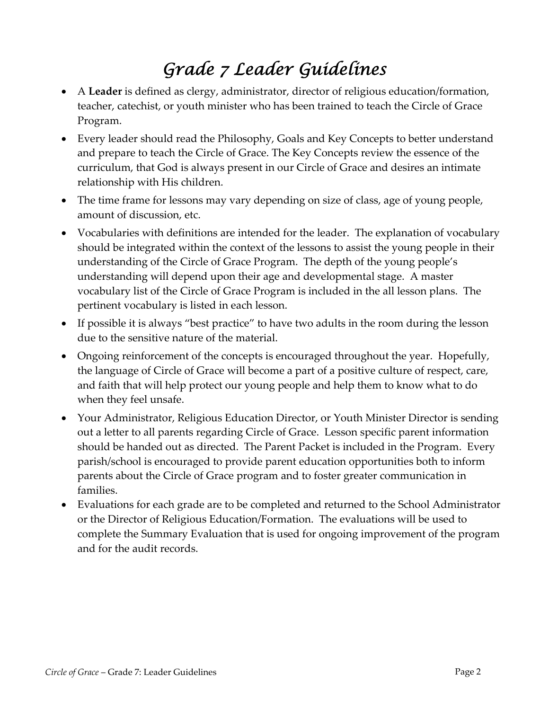# *Grade 7 Leader Guidelines*

- A **Leader** is defined as clergy, administrator, director of religious education/formation, teacher, catechist, or youth minister who has been trained to teach the Circle of Grace Program.
- Every leader should read the Philosophy, Goals and Key Concepts to better understand and prepare to teach the Circle of Grace. The Key Concepts review the essence of the curriculum, that God is always present in our Circle of Grace and desires an intimate relationship with His children.
- The time frame for lessons may vary depending on size of class, age of young people, amount of discussion, etc.
- Vocabularies with definitions are intended for the leader. The explanation of vocabulary should be integrated within the context of the lessons to assist the young people in their understanding of the Circle of Grace Program. The depth of the young people's understanding will depend upon their age and developmental stage. A master vocabulary list of the Circle of Grace Program is included in the all lesson plans. The pertinent vocabulary is listed in each lesson.
- If possible it is always "best practice" to have two adults in the room during the lesson due to the sensitive nature of the material.
- Ongoing reinforcement of the concepts is encouraged throughout the year. Hopefully, the language of Circle of Grace will become a part of a positive culture of respect, care, and faith that will help protect our young people and help them to know what to do when they feel unsafe.
- Your Administrator, Religious Education Director, or Youth Minister Director is sending out a letter to all parents regarding Circle of Grace. Lesson specific parent information should be handed out as directed. The Parent Packet is included in the Program. Every parish/school is encouraged to provide parent education opportunities both to inform parents about the Circle of Grace program and to foster greater communication in families.
- Evaluations for each grade are to be completed and returned to the School Administrator or the Director of Religious Education/Formation. The evaluations will be used to complete the Summary Evaluation that is used for ongoing improvement of the program and for the audit records.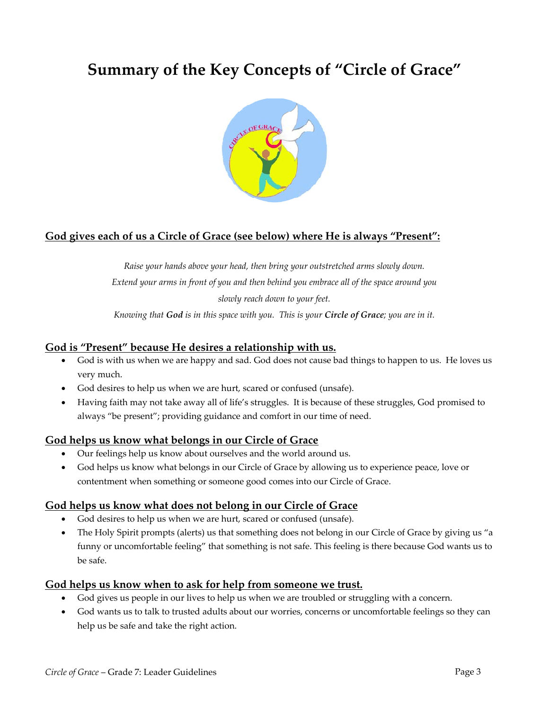## **Summary of the Key Concepts of "Circle of Grace"**



#### **God gives each of us a Circle of Grace (see below) where He is always "Present":**

*Raise your hands above your head, then bring your outstretched arms slowly down. Extend your arms in front of you and then behind you embrace all of the space around you slowly reach down to your feet.*

Knowing that God is in this space with you. This is your Circle of Grace; you are in it.

#### **God is "Present" because He desires a relationship with us.**

- God is with us when we are happy and sad. God does not cause bad things to happen to us. He loves us very much.
- God desires to help us when we are hurt, scared or confused (unsafe).
- Having faith may not take away all of life's struggles. It is because of these struggles, God promised to always "be present"; providing guidance and comfort in our time of need.

#### **God helps us know what belongs in our Circle of Grace**

- Our feelings help us know about ourselves and the world around us.
- God helps us know what belongs in our Circle of Grace by allowing us to experience peace, love or contentment when something or someone good comes into our Circle of Grace.

#### **God helps us know what does not belong in our Circle of Grace**

- God desires to help us when we are hurt, scared or confused (unsafe).
- The Holy Spirit prompts (alerts) us that something does not belong in our Circle of Grace by giving us "a funny or uncomfortable feeling" that something is not safe. This feeling is there because God wants us to be safe.

#### **God helps us know when to ask for help from someone we trust.**

- God gives us people in our lives to help us when we are troubled or struggling with a concern.
- God wants us to talk to trusted adults about our worries, concerns or uncomfortable feelings so they can help us be safe and take the right action.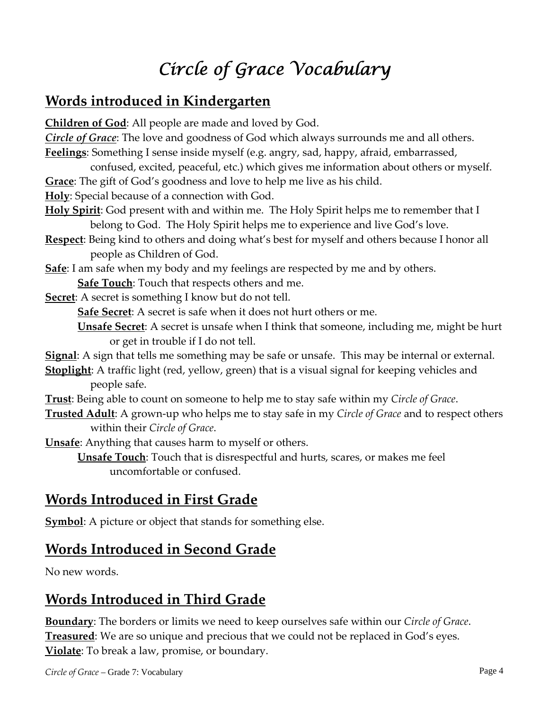# *Circle of Grace Vocabulary*

## **Words introduced in Kindergarten**

**Children of God**: All people are made and loved by God.

*Circle of Grace*: The love and goodness of God which always surrounds me and all others. **Feelings**: Something I sense inside myself (e.g. angry, sad, happy, afraid, embarrassed,

- confused, excited, peaceful, etc.) which gives me information about others or myself. **Grace**: The gift of God's goodness and love to help me live as his child.
- **Holy**: Special because of a connection with God.
- **Holy Spirit**: God present with and within me. The Holy Spirit helps me to remember that I belong to God. The Holy Spirit helps me to experience and live God's love.
- **Respect**: Being kind to others and doing what's best for myself and others because I honor all people as Children of God.
- **Safe**: I am safe when my body and my feelings are respected by me and by others.

**Safe Touch**: Touch that respects others and me.

**Secret:** A secret is something I know but do not tell.

**Safe Secret**: A secret is safe when it does not hurt others or me.

**Unsafe Secret**: A secret is unsafe when I think that someone, including me, might be hurt or get in trouble if I do not tell.

- **Signal**: A sign that tells me something may be safe or unsafe. This may be internal or external.
- **Stoplight**: A traffic light (red, yellow, green) that is a visual signal for keeping vehicles and people safe.
- **Trust**: Being able to count on someone to help me to stay safe within my *Circle of Grace*.
- **Trusted Adult**: A grown‐up who helps me to stay safe in my *Circle of Grace* and to respect others within their *Circle of Grace*.

**Unsafe**: Anything that causes harm to myself or others.

**Unsafe Touch**: Touch that is disrespectful and hurts, scares, or makes me feel uncomfortable or confused.

## **Words Introduced in First Grade**

**Symbol**: A picture or object that stands for something else.

## **Words Introduced in Second Grade**

No new words.

## **Words Introduced in Third Grade**

**Boundary**: The borders or limits we need to keep ourselves safe within our *Circle of Grace*. **Treasured**: We are so unique and precious that we could not be replaced in God's eyes. **Violate**: To break a law, promise, or boundary.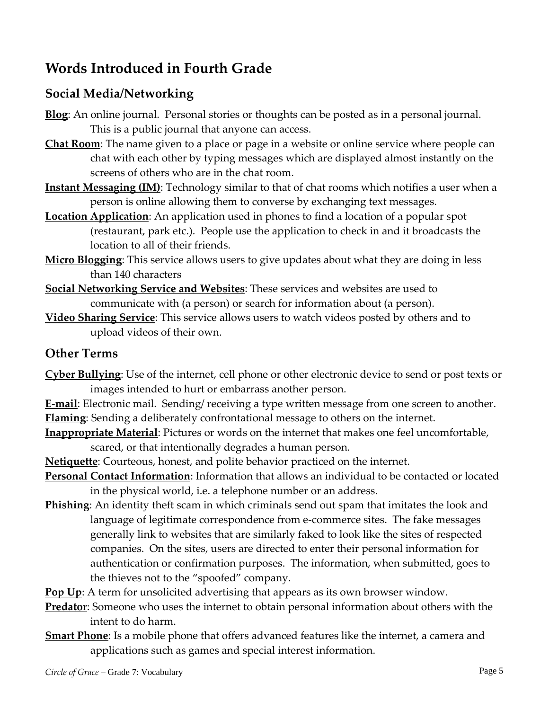## **Words Introduced in Fourth Grade**

### **Social Media/Networking**

- **Blog**: An online journal. Personal stories or thoughts can be posted as in a personal journal. This is a public journal that anyone can access.
- **Chat Room**: The name given to a place or page in a website or online service where people can chat with each other by typing messages which are displayed almost instantly on the screens of others who are in the chat room.
- **Instant Messaging (IM)**: Technology similar to that of chat rooms which notifies a user when a person is online allowing them to converse by exchanging text messages.
- **Location Application**: An application used in phones to find a location of a popular spot (restaurant, park etc.). People use the application to check in and it broadcasts the location to all of their friends.
- **Micro Blogging**: This service allows users to give updates about what they are doing in less than 140 characters
- **Social Networking Service and Websites**: These services and websites are used to communicate with (a person) or search for information about (a person).
- **Video Sharing Service**: This service allows users to watch videos posted by others and to upload videos of their own.

### **Other Terms**

- **Cyber Bullying**: Use of the internet, cell phone or other electronic device to send or post texts or images intended to hurt or embarrass another person.
- **E-mail**: Electronic mail. Sending/ receiving a type written message from one screen to another. **Flaming**: Sending a deliberately confrontational message to others on the internet.
- **Inappropriate Material**: Pictures or words on the internet that makes one feel uncomfortable, scared, or that intentionally degrades a human person.
- **Netiquette**: Courteous, honest, and polite behavior practiced on the internet.
- **Personal Contact Information**: Information that allows an individual to be contacted or located in the physical world, i.e. a telephone number or an address.
- **Phishing**: An identity theft scam in which criminals send out spam that imitates the look and language of legitimate correspondence from e-commerce sites. The fake messages generally link to websites that are similarly faked to look like the sites of respected companies. On the sites, users are directed to enter their personal information for authentication or confirmation purposes. The information, when submitted, goes to the thieves not to the "spoofed" company.
- **Pop Up**: A term for unsolicited advertising that appears as its own browser window.
- **Predator**: Someone who uses the internet to obtain personal information about others with the intent to do harm.
- **Smart Phone**: Is a mobile phone that offers advanced features like the internet, a camera and applications such as games and special interest information.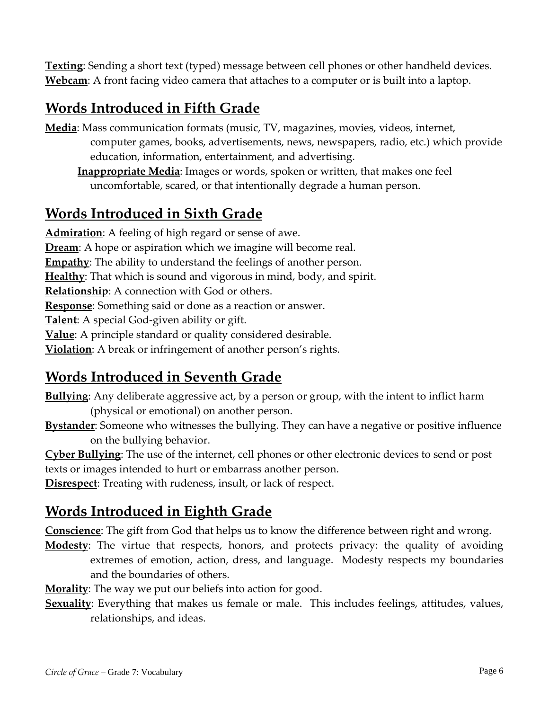**Texting**: Sending a short text (typed) message between cell phones or other handheld devices. **Webcam**: A front facing video camera that attaches to a computer or is built into a laptop.

## **Words Introduced in Fifth Grade**

**Media**: Mass communication formats (music, TV, magazines, movies, videos, internet, computer games, books, advertisements, news, newspapers, radio, etc.) which provide education, information, entertainment, and advertising.

**Inappropriate Media**: Images or words, spoken or written, that makes one feel uncomfortable, scared, or that intentionally degrade a human person.

## **Words Introduced in Sixth Grade**

**Admiration**: A feeling of high regard or sense of awe. **Dream**: A hope or aspiration which we imagine will become real. **Empathy**: The ability to understand the feelings of another person. **Healthy**: That which is sound and vigorous in mind, body, and spirit. **Relationship**: A connection with God or others. **Response**: Something said or done as a reaction or answer. **Talent**: A special God‐given ability or gift. **Value**: A principle standard or quality considered desirable. **Violation**: A break or infringement of another person's rights.

## **Words Introduced in Seventh Grade**

**Bullying**: Any deliberate aggressive act, by a person or group, with the intent to inflict harm (physical or emotional) on another person.

**Bystander**: Someone who witnesses the bullying. They can have a negative or positive influence on the bullying behavior.

**Cyber Bullying**: The use of the internet, cell phones or other electronic devices to send or post texts or images intended to hurt or embarrass another person.

**Disrespect**: Treating with rudeness, insult, or lack of respect.

## **Words Introduced in Eighth Grade**

**Conscience**: The gift from God that helps us to know the difference between right and wrong.

**Modesty**: The virtue that respects, honors, and protects privacy: the quality of avoiding extremes of emotion, action, dress, and language. Modesty respects my boundaries and the boundaries of others.

**Morality**: The way we put our beliefs into action for good.

**Sexuality**: Everything that makes us female or male. This includes feelings, attitudes, values, relationships, and ideas.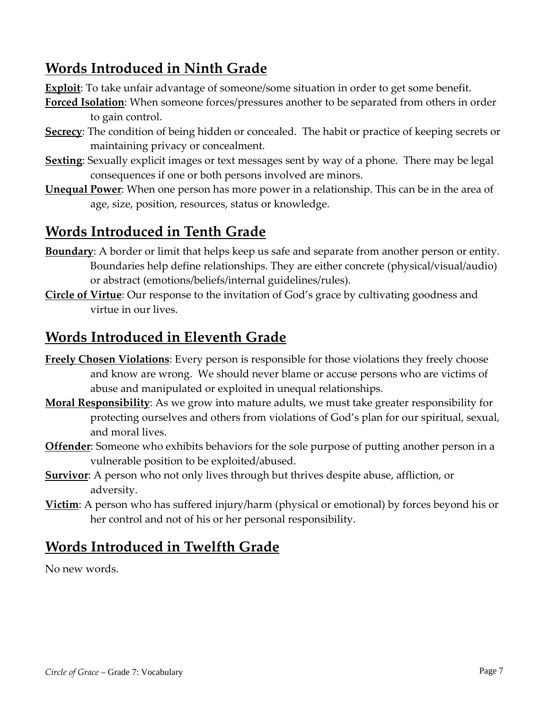## **Words Introduced in Ninth Grade**

**Exploit**: To take unfair advantage of someone/some situation in order to get some benefit.

- **Forced Isolation**: When someone forces/pressures another to be separated from others in order to gain control.
- **Secrecy**: The condition of being hidden or concealed. The habit or practice of keeping secrets or maintaining privacy or concealment.
- **Sexting**: Sexually explicit images or text messages sent by way of a phone. There may be legal consequences if one or both persons involved are minors.
- **Unequal Power**: When one person has more power in a relationship. This can be in the area of age, size, position, resources, status or knowledge.

## **Words Introduced in Tenth Grade**

- **Boundary**: A border or limit that helps keep us safe and separate from another person or entity. Boundaries help define relationships. They are either concrete (physical/visual/audio) or abstract (emotions/beliefs/internal guidelines/rules).
- **Circle of Virtue**: Our response to the invitation of God's grace by cultivating goodness and virtue in our lives.

## **Words Introduced in Eleventh Grade**

- **Freely Chosen Violations**: Every person is responsible for those violations they freely choose and know are wrong. We should never blame or accuse persons who are victims of abuse and manipulated or exploited in unequal relationships.
- **Moral Responsibility**: As we grow into mature adults, we must take greater responsibility for protecting ourselves and others from violations of God's plan for our spiritual, sexual, and moral lives.
- **Offender**: Someone who exhibits behaviors for the sole purpose of putting another person in a vulnerable position to be exploited/abused.
- **Survivor**: A person who not only lives through but thrives despite abuse, affliction, or adversity.
- **Victim**: A person who has suffered injury/harm (physical or emotional) by forces beyond his or her control and not of his or her personal responsibility.

## **Words Introduced in Twelfth Grade**

No new words.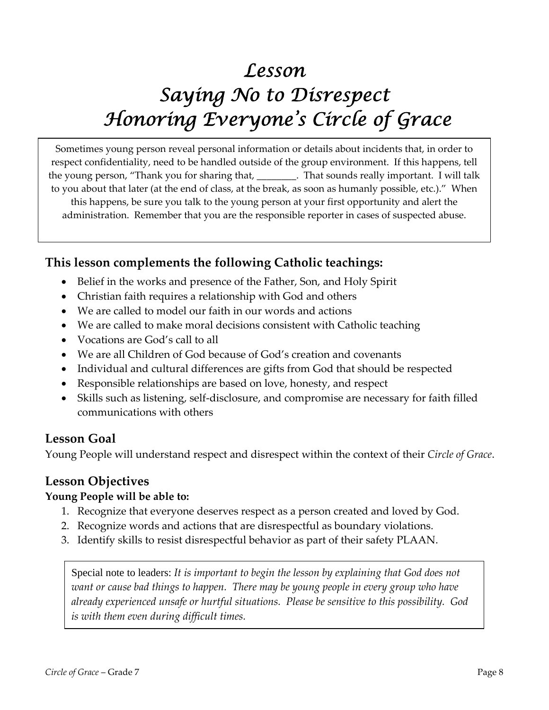# *Lesson Saying No to Disrespect Honoring Everyone's Circle of Grace*

Sometimes young person reveal personal information or details about incidents that, in order to respect confidentiality, need to be handled outside of the group environment. If this happens, tell the young person, "Thank you for sharing that, \_\_\_\_\_\_\_\_. That sounds really important. I will talk to you about that later (at the end of class, at the break, as soon as humanly possible, etc.)." When this happens, be sure you talk to the young person at your first opportunity and alert the administration. Remember that you are the responsible reporter in cases of suspected abuse.

### **This lesson complements the following Catholic teachings:**

- Belief in the works and presence of the Father, Son, and Holy Spirit
- Christian faith requires a relationship with God and others
- We are called to model our faith in our words and actions
- We are called to make moral decisions consistent with Catholic teaching
- Vocations are God's call to all
- We are all Children of God because of God's creation and covenants
- Individual and cultural differences are gifts from God that should be respected
- Responsible relationships are based on love, honesty, and respect
- Skills such as listening, self‐disclosure, and compromise are necessary for faith filled communications with others

### **Lesson Goal**

Young People will understand respect and disrespect within the context of their *Circle of Grace*.

### **Lesson Objectives**

### **Young People will be able to:**

- 1. Recognize that everyone deserves respect as a person created and loved by God.
- 2. Recognize words and actions that are disrespectful as boundary violations.
- 3. Identify skills to resist disrespectful behavior as part of their safety PLAAN.

Special note to leaders: *It is important to begin the lesson by explaining that God does not want or cause bad things to happen. There may be young people in every group who have already experienced unsafe or hurtful situations. Please be sensitive to this possibility. God is with them even during difficult times.*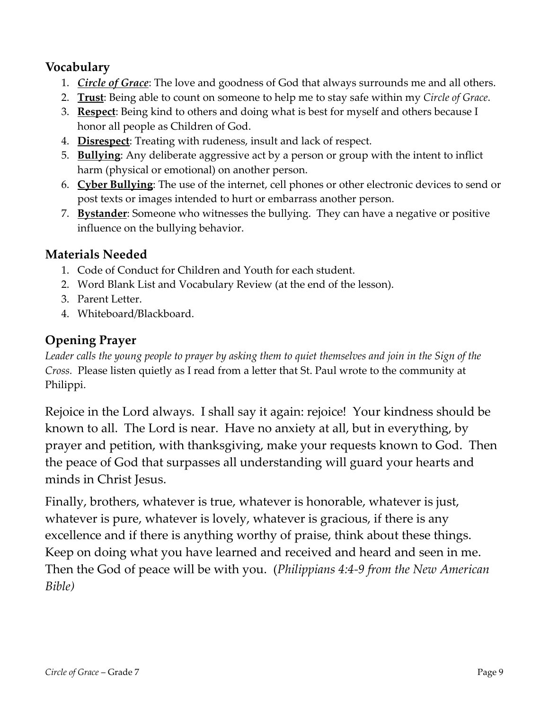### **Vocabulary**

- 1. *Circle of Grace*: The love and goodness of God that always surrounds me and all others.
- 2. **Trust**: Being able to count on someone to help me to stay safe within my *Circle of Grace*.
- 3. **Respect**: Being kind to others and doing what is best for myself and others because I honor all people as Children of God.
- 4. **Disrespect**: Treating with rudeness, insult and lack of respect.
- 5. **Bullying**: Any deliberate aggressive act by a person or group with the intent to inflict harm (physical or emotional) on another person.
- 6. **Cyber Bullying**: The use of the internet, cell phones or other electronic devices to send or post texts or images intended to hurt or embarrass another person.
- 7. **Bystander**: Someone who witnesses the bullying. They can have a negative or positive influence on the bullying behavior.

### **Materials Needed**

- 1. Code of Conduct for Children and Youth for each student.
- 2. Word Blank List and Vocabulary Review (at the end of the lesson).
- 3. Parent Letter.
- 4. Whiteboard/Blackboard.

### **Opening Prayer**

Leader calls the young people to prayer by asking them to quiet themselves and join in the Sign of the *Cross.* Please listen quietly as I read from a letter that St. Paul wrote to the community at Philippi.

Rejoice in the Lord always. I shall say it again: rejoice! Your kindness should be known to all. The Lord is near. Have no anxiety at all, but in everything, by prayer and petition, with thanksgiving, make your requests known to God. Then the peace of God that surpasses all understanding will guard your hearts and minds in Christ Jesus.

Finally, brothers, whatever is true, whatever is honorable, whatever is just, whatever is pure, whatever is lovely, whatever is gracious, if there is any excellence and if there is anything worthy of praise, think about these things. Keep on doing what you have learned and received and heard and seen in me. Then the God of peace will be with you. (*Philippians 4:4‐9 from the New American Bible)*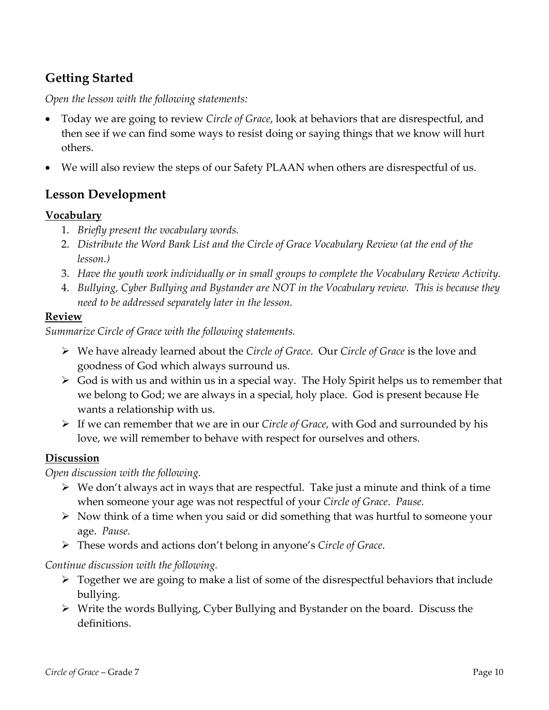### **Getting Started**

*Open the lesson with the following statements:*

- Today we are going to review *Circle of Grace*, look at behaviors that are disrespectful, and then see if we can find some ways to resist doing or saying things that we know will hurt others.
- We will also review the steps of our Safety PLAAN when others are disrespectful of us.

### **Lesson Development**

#### **Vocabulary**

- 1. *Briefly present the vocabulary words.*
- 2. *Distribute the Word Bank List and the Circle of Grace Vocabulary Review (at the end of the lesson.)*
- 3. *Have the youth work individually or in small groups to complete the Vocabulary Review Activity.*
- 4. *Bullying, Cyber Bullying and Bystander are NOT in the Vocabulary review. This is because they need to be addressed separately later in the lesson.*

#### **Review**

*Summarize Circle of Grace with the following statements.*

- We have already learned about the *Circle of Grace*. Our *Circle of Grace* is the love and goodness of God which always surround us.
- $\triangleright$  God is with us and within us in a special way. The Holy Spirit helps us to remember that we belong to God; we are always in a special, holy place. God is present because He wants a relationship with us.
- If we can remember that we are in our *Circle of Grace*, with God and surrounded by his love, we will remember to behave with respect for ourselves and others.

#### **Discussion**

#### *Open discussion with the following.*

- $\triangleright$  We don't always act in ways that are respectful. Take just a minute and think of a time when someone your age was not respectful of your *Circle of Grace*. *Pause.*
- $\triangleright$  Now think of a time when you said or did something that was hurtful to someone your age. *Pause.*
- These words and actions don't belong in anyone's *Circle of Grace*.

#### *Continue discussion with the following.*

- $\triangleright$  Together we are going to make a list of some of the disrespectful behaviors that include bullying.
- Write the words Bullying, Cyber Bullying and Bystander on the board. Discuss the definitions.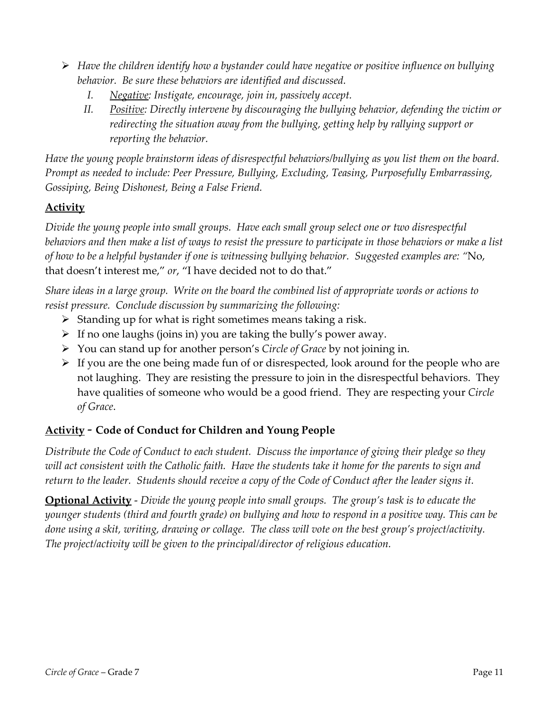- *Have the children identify how a bystander could have negative or positive influence on bullying behavior. Be sure these behaviors are identified and discussed.*
	- *I. Negative: Instigate, encourage, join in, passively accept.*
	- *II. Positive: Directly intervene by discouraging the bullying behavior, defending the victim or redirecting the situation away from the bullying, getting help by rallying support or reporting the behavior.*

Have the young people brainstorm ideas of disrespectful behaviors/bullying as you list them on the board. *Prompt as needed to include: Peer Pressure, Bullying, Excluding, Teasing, Purposefully Embarrassing, Gossiping, Being Dishonest, Being a False Friend.* 

### **Activity**

*Divide the young people into small groups. Have each small group select one or two disrespectful* behaviors and then make a list of ways to resist the pressure to participate in those behaviors or make a list of how to be a helpful bystander if one is witnessing bullying behavior. Suggested examples are: "No, that doesn't interest me," *or*, "I have decided not to do that."

Share ideas in a large group. Write on the board the combined list of appropriate words or actions to *resist pressure. Conclude discussion by summarizing the following:*

- $\triangleright$  Standing up for what is right sometimes means taking a risk.
- $\triangleright$  If no one laughs (joins in) you are taking the bully's power away.
- You can stand up for another person's *Circle of Grace* by not joining in.
- $\triangleright$  If you are the one being made fun of or disrespected, look around for the people who are not laughing. They are resisting the pressure to join in the disrespectful behaviors. They have qualities of someone who would be a good friend. They are respecting your *Circle of Grace*.

#### **Activity** ‐ **Code of Conduct for Children and Young People**

Distribute the Code of Conduct to each student. Discuss the importance of giving their pledge so they will act consistent with the Catholic faith. Have the students take it home for the parents to sign and return to the leader. Students should receive a copy of the Code of Conduct after the leader signs it.

**Optional Activity** ‐ *Divide the young people into small groups. The group's task is to educate the* younger students (third and fourth grade) on bullying and how to respond in a positive way. This can be done using a skit, writing, drawing or collage. The class will vote on the best group's project/activity. *The project/activity will be given to the principal/director of religious education.*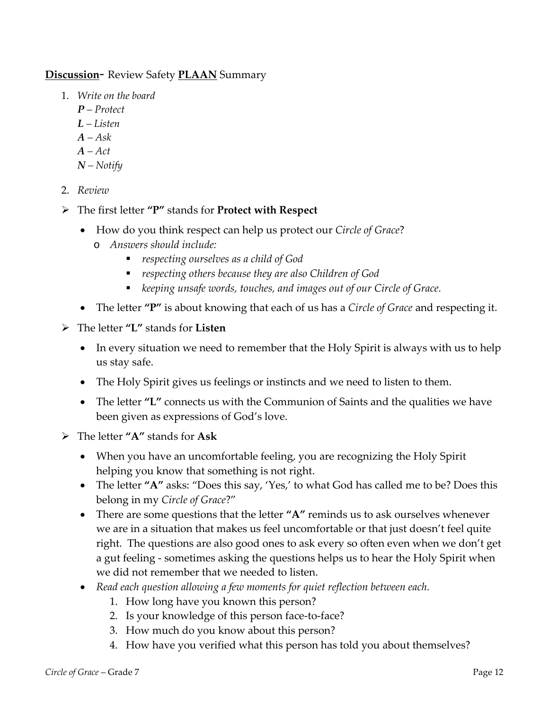#### **Discussion**‐ Review Safety **PLAAN** Summary

- 1. *Write on the board*
	- *P – Protect*
	- *L – Listen*
	- *A – Ask*
	- *A – Act*
	- *N – Notify*
- 2. *Review*
- The first letter **"P"** stands for **Protect with Respect**
	- How do you think respect can help us protect our *Circle of Grace*?
		- o *Answers should include:*
			- *respecting ourselves as a child of God*
			- *respecting others because they are also Children of God*
			- *keeping unsafe words, touches, and images out of our Circle of Grace.*
	- The letter **"P"** is about knowing that each of us has a *Circle of Grace* and respecting it.
- The letter **"L"** stands for **Listen**
	- In every situation we need to remember that the Holy Spirit is always with us to help us stay safe.
	- The Holy Spirit gives us feelings or instincts and we need to listen to them.
	- The letter **"L"** connects us with the Communion of Saints and the qualities we have been given as expressions of God's love.
- The letter **"A"** stands for **Ask**
	- When you have an uncomfortable feeling, you are recognizing the Holy Spirit helping you know that something is not right.
	- The letter "A" asks: "Does this say, 'Yes,' to what God has called me to be? Does this belong in my *Circle of Grace*?"
	- There are some questions that the letter **"A"** reminds us to ask ourselves whenever we are in a situation that makes us feel uncomfortable or that just doesn't feel quite right. The questions are also good ones to ask every so often even when we don't get a gut feeling ‐ sometimes asking the questions helps us to hear the Holy Spirit when we did not remember that we needed to listen.
	- *Read each question allowing a few moments for quiet reflection between each.*
		- 1. How long have you known this person?
		- 2. Is your knowledge of this person face-to-face?
		- 3. How much do you know about this person?
		- 4. How have you verified what this person has told you about themselves?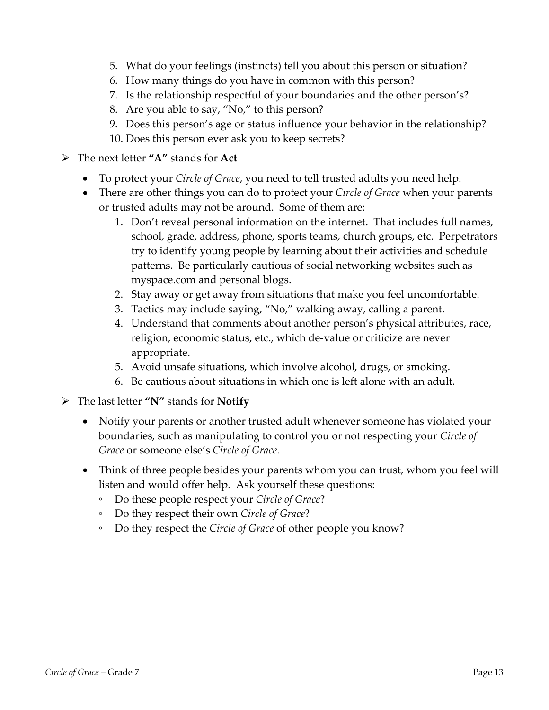- 5. What do your feelings (instincts) tell you about this person or situation?
- 6. How many things do you have in common with this person?
- 7. Is the relationship respectful of your boundaries and the other person's?
- 8. Are you able to say, "No," to this person?
- 9. Does this person's age or status influence your behavior in the relationship?
- 10. Does this person ever ask you to keep secrets?
- The next letter **"A"** stands for **Act**
	- To protect your *Circle of Grace*, you need to tell trusted adults you need help.
	- There are other things you can do to protect your *Circle of Grace* when your parents or trusted adults may not be around. Some of them are:
		- 1. Don't reveal personal information on the internet. That includes full names, school, grade, address, phone, sports teams, church groups, etc. Perpetrators try to identify young people by learning about their activities and schedule patterns. Be particularly cautious of social networking websites such as myspace.com and personal blogs.
		- 2. Stay away or get away from situations that make you feel uncomfortable.
		- 3. Tactics may include saying, "No," walking away, calling a parent.
		- 4. Understand that comments about another person's physical attributes, race, religion, economic status, etc., which de‐value or criticize are never appropriate.
		- 5. Avoid unsafe situations, which involve alcohol, drugs, or smoking.
		- 6. Be cautious about situations in which one is left alone with an adult.
- The last letter **"N"** stands for **Notify**
	- Notify your parents or another trusted adult whenever someone has violated your boundaries, such as manipulating to control you or not respecting your *Circle of Grace* or someone else's *Circle of Grace*.
	- Think of three people besides your parents whom you can trust, whom you feel will listen and would offer help. Ask yourself these questions:
		- Do these people respect your *Circle of Grace*?
		- Do they respect their own *Circle of Grace*?
		- Do they respect the *Circle of Grace* of other people you know?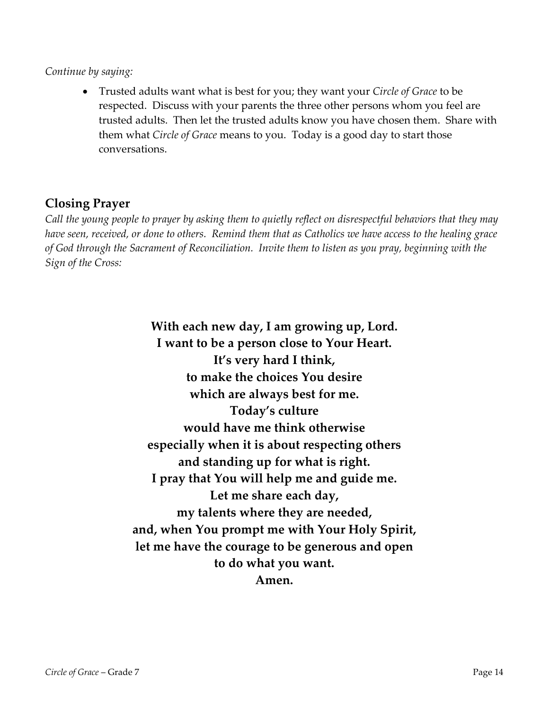#### *Continue by saying:*

 Trusted adults want what is best for you; they want your *Circle of Grace* to be respected. Discuss with your parents the three other persons whom you feel are trusted adults. Then let the trusted adults know you have chosen them. Share with them what *Circle of Grace* means to you. Today is a good day to start those conversations.

### **Closing Prayer**

Call the young people to prayer by asking them to quietly reflect on disrespectful behaviors that they may have seen, received, or done to others. Remind them that as Catholics we have access to the healing grace of God through the Sacrament of Reconciliation. Invite them to listen as you pray, beginning with the *Sign of the Cross:*

> **With each new day, I am growing up, Lord. I want to be a person close to Your Heart. It's very hard I think, to make the choices You desire which are always best for me. Today's culture would have me think otherwise especially when it is about respecting others and standing up for what is right. I pray that You will help me and guide me. Let me share each day, my talents where they are needed, and, when You prompt me with Your Holy Spirit, let me have the courage to be generous and open to do what you want. Amen.**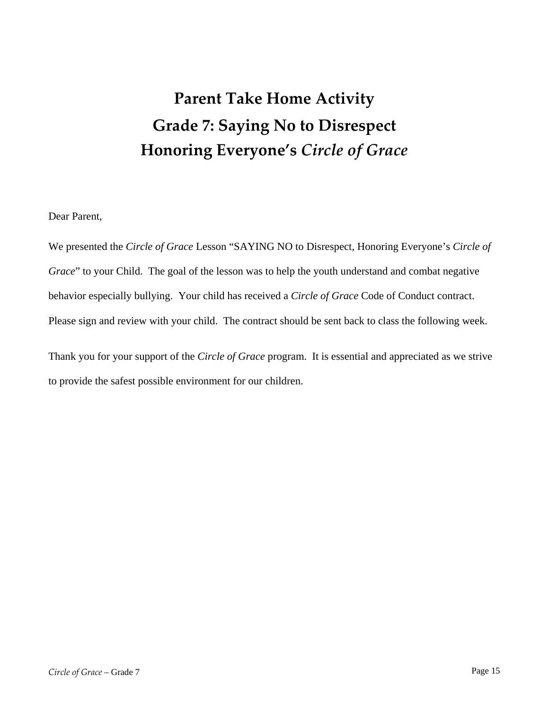# **Parent Take Home Activity Grade 7: Saying No to Disrespect Honoring Everyone's** *Circle of Grace*

Dear Parent,

We presented the *Circle of Grace* Lesson "SAYING NO to Disrespect, Honoring Everyone's *Circle of Grace*" to your Child. The goal of the lesson was to help the youth understand and combat negative behavior especially bullying. Your child has received a *Circle of Grace* Code of Conduct contract. Please sign and review with your child. The contract should be sent back to class the following week.

Thank you for your support of the *Circle of Grace* program. It is essential and appreciated as we strive to provide the safest possible environment for our children.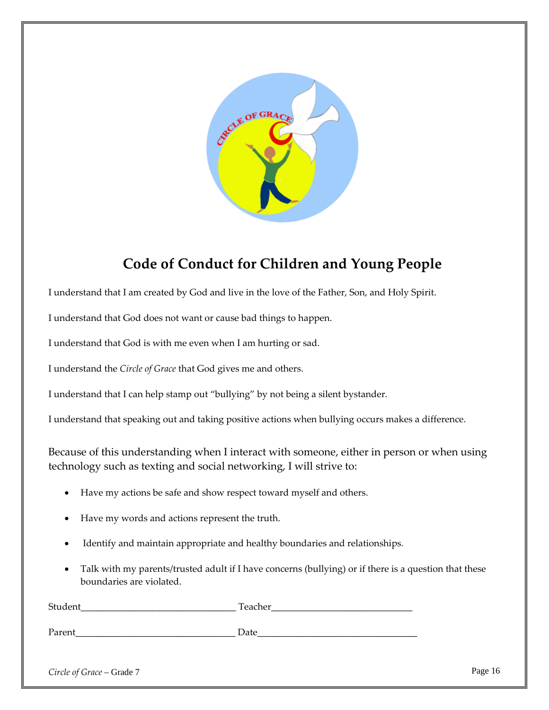

## **Code of Conduct for Children and Young People**

I understand that I am created by God and live in the love of the Father, Son, and Holy Spirit.

I understand that God does not want or cause bad things to happen.

I understand that God is with me even when I am hurting or sad.

I understand the *Circle of Grace* that God gives me and others.

I understand that I can help stamp out "bullying" by not being a silent bystander.

I understand that speaking out and taking positive actions when bullying occurs makes a difference.

Because of this understanding when I interact with someone, either in person or when using technology such as texting and social networking, I will strive to:

- Have my actions be safe and show respect toward myself and others.
- Have my words and actions represent the truth.
- Identify and maintain appropriate and healthy boundaries and relationships.
- Talk with my parents/trusted adult if I have concerns (bullying) or if there is a question that these boundaries are violated.

| $\mathbf{r}$<br>- |
|-------------------|
|                   |

Parent **Date** 

*Circle of Grace* – Grade 7 Page 16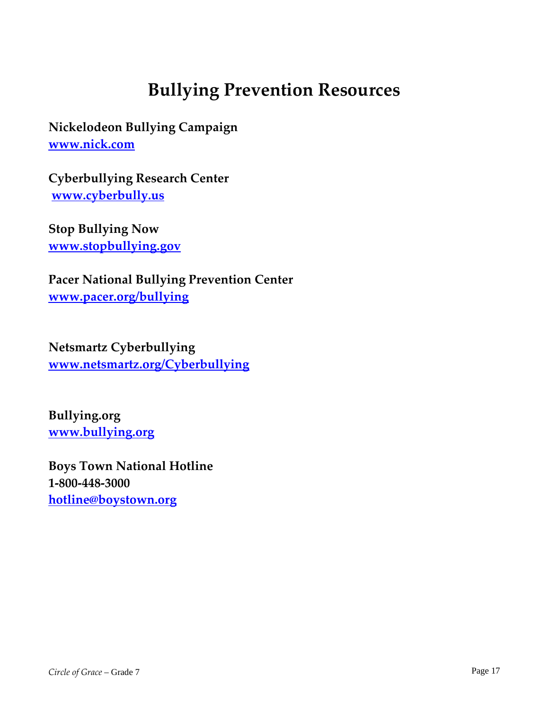## **Bullying Prevention Resources**

**Nickelodeon Bullying Campaign www.nick.com**

**Cyberbullying Research Center www.cyberbully.us** 

**Stop Bullying Now www.stopbullying.gov**

**Pacer National Bullying Prevention Center www.pacer.org/bullying** 

**Netsmartz Cyberbullying www.netsmartz.org/Cyberbullying** 

**Bullying.org www.bullying.org** 

**Boys Town National Hotline 1‐800‐448‐3000 hotline@boystown.org**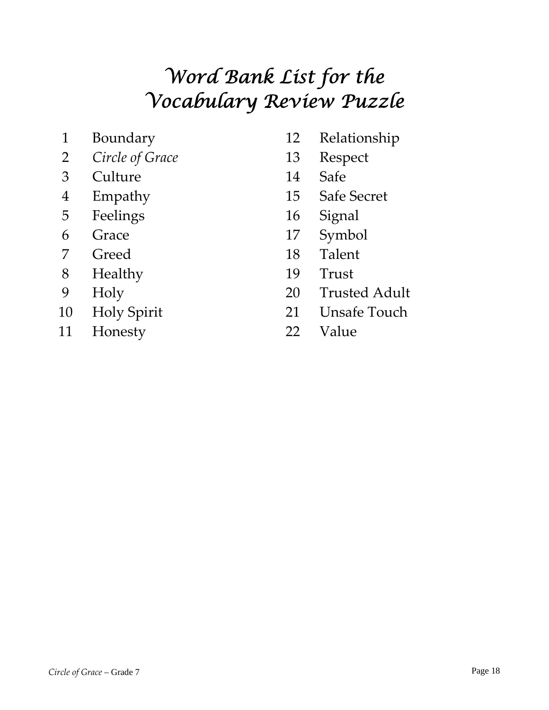# *Word Bank List for the Vocabulary Review Puzzle*

- 
- *Circle of Grace* 13 Respect
- Culture 14 Safe
- 
- Feelings 16 Signal
- 
- 
- Healthy 19 Trust
- 
- 
- Honesty 22 Value
- Boundary 12 Relationship
	-
	-
- Empathy 15 Safe Secret
	-
- Grace 17 Symbol
- 7 Greed 18 Talent
	-
- Holy 20 Trusted Adult
- Holy Spirit 21 Unsafe Touch
	-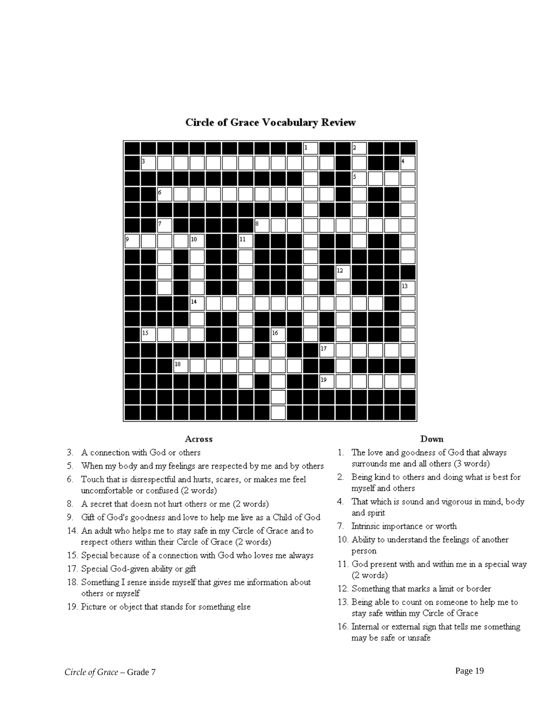

#### **Circle of Grace Vocabulary Review**

#### Across

- 3. A connection with God or others
- 5. When my body and my feelings are respected by me and by others
- 6. Touch that is disrespectful and hurts, scares, or makes me feel uncomfortable or confused (2 words)
- 8. A secret that doesn not hurt others or me (2 words)
- 9. Gift of God's goodness and love to help me live as a Child of God
- 14. An adult who helps me to stay safe in my Circle of Grace and to respect others within their Circle of Grace (2 words)
- 15. Special because of a connection with God who loves me always
- 17. Special God-given ability or gift
- 18. Something I sense inside myself that gives me information about others or myself
- 19. Picture or object that stands for something else

#### Down

- 1. The love and goodness of God that always surrounds me and all others (3 words)
- 2. Being kind to others and doing what is best for myself and others
- 4. That which is sound and vigorous in mind, body and spirit
- 7. Intrinsic importance or worth
- 10. Ability to understand the feelings of another person
- 11. God present with and within me in a special way (2 words)
- 12. Something that marks a limit or border
- 13. Being able to count on someone to help me to stay safe within my Circle of Grace
- 16. Internal or external sign that tells me something may be safe or unsafe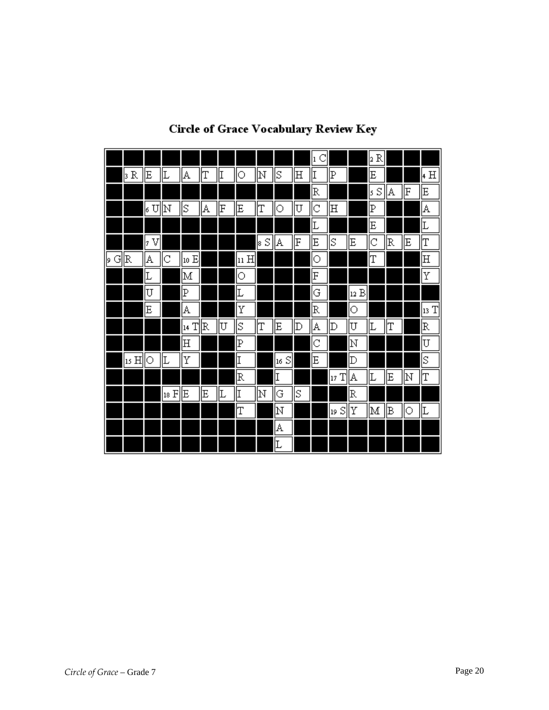|         |      |        |      |                              |   |    |         |         |         |    | C<br> ı |         |         | 2 R              |    |    |         |
|---------|------|--------|------|------------------------------|---|----|---------|---------|---------|----|---------|---------|---------|------------------|----|----|---------|
|         | þR   | Ε      | 匚    | A                            | T | II | $\circ$ | N       | ΙS      | 田  | I       | P       |         | E                |    |    | 4 H     |
|         |      |        |      |                              |   |    |         |         |         |    | R       |         |         | $\mathbb S$<br>ß | A  | F  | E       |
|         |      | U<br>ŀ | ļΝ   | S                            | A | F  | Ε       | IΤ      | О       | U  | Iс      | 田       |         | Þ                |    |    | A       |
|         |      |        |      |                              |   |    |         |         |         |    | Ŀ       |         |         | E                |    |    | Ŀ       |
|         |      | V<br>þ |      |                              |   |    |         | S<br>18 | A       | F  | E       | ΙS      | Ε       | C                | R  | E  | T       |
| G<br>þ. | R    | A      | С    | $\vert$ 10 $\mathrm{E}\vert$ |   |    | 11 H    |         |         |    | 0       |         |         | ľΤ               |    |    | 田       |
|         |      | Ŀ      |      | M                            |   |    | О       |         |         |    | F       |         |         |                  |    |    | Υ       |
|         |      | U      |      | P                            |   |    | Ŀ       |         |         |    | G       |         | В<br>12 |                  |    |    |         |
|         |      | E      |      | A                            |   |    | Υ       |         |         |    | R       |         | О       |                  |    |    | T<br>13 |
|         |      |        |      | 14 T                         | R | U  | S       | IΤ      | E       | Þ  | A       | Þ       | U       | Ŀ                | T  |    | R       |
|         |      |        |      | 田                            |   |    | P       |         |         |    | C       |         | ÞΙ      |                  |    |    | U       |
|         | 15 H | О      | Ŀ    | Υ                            |   |    | I       |         | S<br>16 |    | E       |         | D       |                  |    |    | Ιs      |
|         |      |        |      |                              |   |    | R       |         | I       |    |         | T<br>17 | A       | Ŀ                | Ε  | ļΝ | IΤ      |
|         |      |        | 18 F | Ε                            | E | Ŀ  | I       | N       | G       | ΙS |         |         | R       |                  |    |    |         |
|         |      |        |      |                              |   |    | T       |         | ļΝ      |    |         | S<br>19 | Υ       | M                | ΙB | О  | Ŀ       |
|         |      |        |      |                              |   |    |         |         | A       |    |         |         |         |                  |    |    |         |
|         |      |        |      |                              |   |    |         |         | Ŀ       |    |         |         |         |                  |    |    |         |

### **Circle of Grace Vocabulary Review Key**